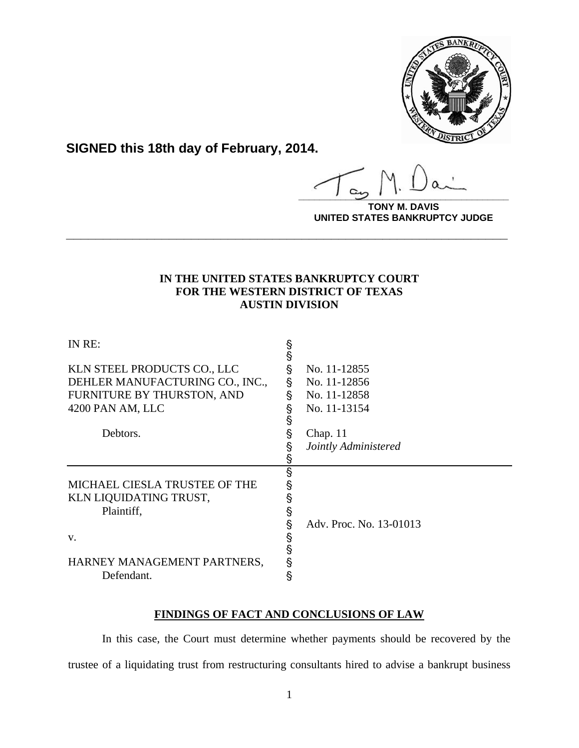

**SIGNED this 18th day of February, 2014.**

**\_\_\_\_\_\_\_\_\_\_\_\_\_\_\_\_\_\_\_\_\_\_\_\_\_\_\_\_\_\_\_\_\_\_\_\_\_\_\_\_**

**TONY M. DAVIS UNITED STATES BANKRUPTCY JUDGE**

## **IN THE UNITED STATES BANKRUPTCY COURT FOR THE WESTERN DISTRICT OF TEXAS AUSTIN DIVISION**

**\_\_\_\_\_\_\_\_\_\_\_\_\_\_\_\_\_\_\_\_\_\_\_\_\_\_\_\_\_\_\_\_\_\_\_\_\_\_\_\_\_\_\_\_\_\_\_\_\_\_\_\_\_\_\_\_\_\_\_\_**

| IN RE:                          | §<br>§ |                         |
|---------------------------------|--------|-------------------------|
| KLN STEEL PRODUCTS CO., LLC     | §      | No. 11-12855            |
| DEHLER MANUFACTURING CO., INC., | Ş      | No. 11-12856            |
| FURNITURE BY THURSTON, AND      | Ş      | No. 11-12858            |
| 4200 PAN AM, LLC                | §<br>§ | No. 11-13154            |
| Debtors.                        | §      | Chap. $11$              |
|                                 | §      | Jointly Administered    |
|                                 | §      |                         |
| MICHAEL CIESLA TRUSTEE OF THE   |        |                         |
| KLN LIQUIDATING TRUST,          |        |                         |
| Plaintiff,                      |        |                         |
|                                 |        | Adv. Proc. No. 13-01013 |
| V.                              | Ş      |                         |
|                                 | Ŝ      |                         |
| HARNEY MANAGEMENT PARTNERS,     |        |                         |
| Defendant.                      | §      |                         |

# **FINDINGS OF FACT AND CONCLUSIONS OF LAW**

 In this case, the Court must determine whether payments should be recovered by the trustee of a liquidating trust from restructuring consultants hired to advise a bankrupt business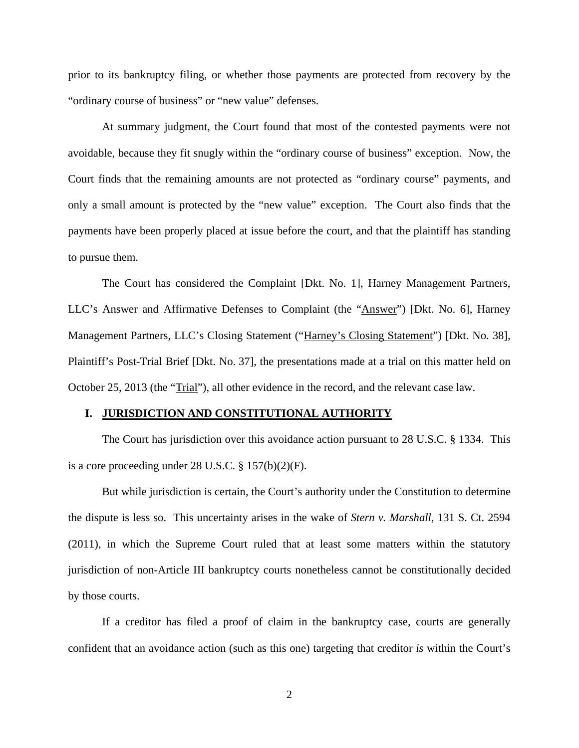prior to its bankruptcy filing, or whether those payments are protected from recovery by the "ordinary course of business" or "new value" defenses.

 At summary judgment, the Court found that most of the contested payments were not avoidable, because they fit snugly within the "ordinary course of business" exception. Now, the Court finds that the remaining amounts are not protected as "ordinary course" payments, and only a small amount is protected by the "new value" exception. The Court also finds that the payments have been properly placed at issue before the court, and that the plaintiff has standing to pursue them.

 The Court has considered the Complaint [Dkt. No. 1], Harney Management Partners, LLC's Answer and Affirmative Defenses to Complaint (the "Answer") [Dkt. No. 6], Harney Management Partners, LLC's Closing Statement ("Harney's Closing Statement") [Dkt. No. 38], Plaintiff's Post-Trial Brief [Dkt. No. 37], the presentations made at a trial on this matter held on October 25, 2013 (the "Trial"), all other evidence in the record, and the relevant case law.

#### **I. JURISDICTION AND CONSTITUTIONAL AUTHORITY**

 The Court has jurisdiction over this avoidance action pursuant to 28 U.S.C. § 1334. This is a core proceeding under 28 U.S.C. § 157(b)(2)(F).

 But while jurisdiction is certain, the Court's authority under the Constitution to determine the dispute is less so. This uncertainty arises in the wake of *Stern v. Marshall*, 131 S. Ct. 2594 (2011), in which the Supreme Court ruled that at least some matters within the statutory jurisdiction of non-Article III bankruptcy courts nonetheless cannot be constitutionally decided by those courts.

 If a creditor has filed a proof of claim in the bankruptcy case, courts are generally confident that an avoidance action (such as this one) targeting that creditor *is* within the Court's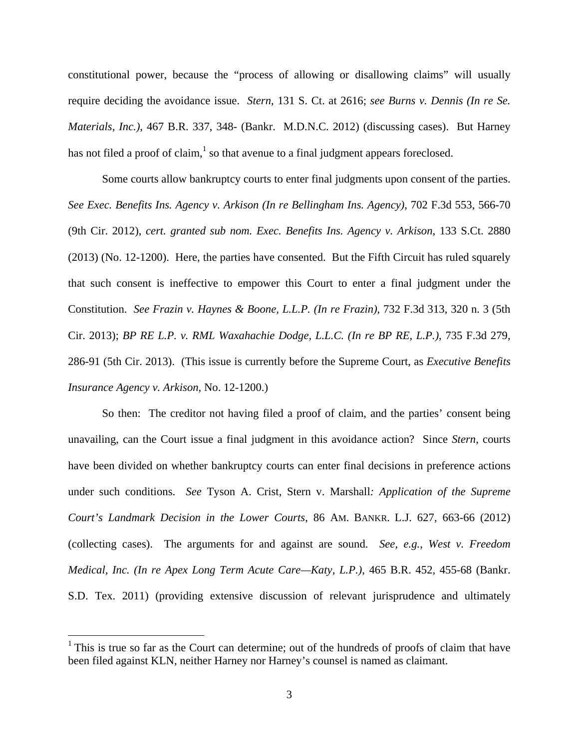constitutional power, because the "process of allowing or disallowing claims" will usually require deciding the avoidance issue. *Stern*, 131 S. Ct. at 2616; *see Burns v. Dennis (In re Se. Materials, Inc.)*, 467 B.R. 337, 348- (Bankr. M.D.N.C. 2012) (discussing cases). But Harney has not filed a proof of claim, $<sup>1</sup>$  so that avenue to a final judgment appears foreclosed.</sup>

 Some courts allow bankruptcy courts to enter final judgments upon consent of the parties. *See Exec. Benefits Ins. Agency v. Arkison (In re Bellingham Ins. Agency)*, 702 F.3d 553, 566-70 (9th Cir. 2012), *cert. granted sub nom. Exec. Benefits Ins. Agency v. Arkison*, 133 S.Ct. 2880 (2013) (No. 12-1200). Here, the parties have consented. But the Fifth Circuit has ruled squarely that such consent is ineffective to empower this Court to enter a final judgment under the Constitution. *See Frazin v. Haynes & Boone, L.L.P. (In re Frazin)*, 732 F.3d 313, 320 n. 3 (5th Cir. 2013); *BP RE L.P. v. RML Waxahachie Dodge, L.L.C. (In re BP RE, L.P.)*, 735 F.3d 279, 286-91 (5th Cir. 2013). (This issue is currently before the Supreme Court, as *Executive Benefits Insurance Agency v. Arkison*, No. 12-1200.)

 So then: The creditor not having filed a proof of claim, and the parties' consent being unavailing, can the Court issue a final judgment in this avoidance action? Since *Stern*, courts have been divided on whether bankruptcy courts can enter final decisions in preference actions under such conditions. *See* Tyson A. Crist, Stern v. Marshall*: Application of the Supreme Court's Landmark Decision in the Lower Courts*, 86 AM. BANKR. L.J. 627, 663-66 (2012) (collecting cases). The arguments for and against are sound. *See, e.g.*, *West v. Freedom Medical, Inc. (In re Apex Long Term Acute Care—Katy, L.P.)*, 465 B.R. 452, 455-68 (Bankr. S.D. Tex. 2011) (providing extensive discussion of relevant jurisprudence and ultimately

 $\overline{a}$ 

<sup>&</sup>lt;sup>1</sup> This is true so far as the Court can determine; out of the hundreds of proofs of claim that have been filed against KLN, neither Harney nor Harney's counsel is named as claimant.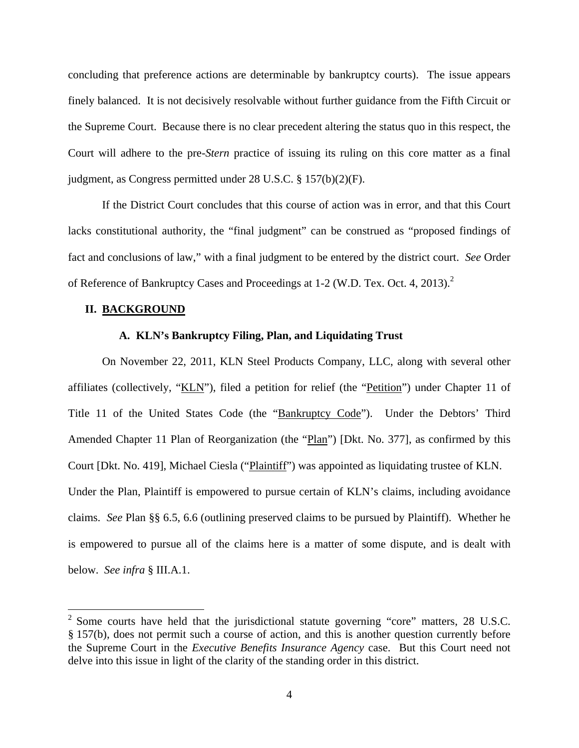concluding that preference actions are determinable by bankruptcy courts). The issue appears finely balanced. It is not decisively resolvable without further guidance from the Fifth Circuit or the Supreme Court. Because there is no clear precedent altering the status quo in this respect, the Court will adhere to the pre-*Stern* practice of issuing its ruling on this core matter as a final judgment, as Congress permitted under 28 U.S.C. § 157(b)(2)(F).

 If the District Court concludes that this course of action was in error, and that this Court lacks constitutional authority, the "final judgment" can be construed as "proposed findings of fact and conclusions of law," with a final judgment to be entered by the district court. *See* Order of Reference of Bankruptcy Cases and Proceedings at 1-2 (W.D. Tex. Oct. 4, 2013). $2$ 

#### **II. BACKGROUND**

 $\overline{a}$ 

## **A. KLN's Bankruptcy Filing, Plan, and Liquidating Trust**

On November 22, 2011, KLN Steel Products Company, LLC, along with several other affiliates (collectively, "KLN"), filed a petition for relief (the "Petition") under Chapter 11 of Title 11 of the United States Code (the "Bankruptcy Code"). Under the Debtors' Third Amended Chapter 11 Plan of Reorganization (the "Plan") [Dkt. No. 377], as confirmed by this Court [Dkt. No. 419], Michael Ciesla ("Plaintiff") was appointed as liquidating trustee of KLN. Under the Plan, Plaintiff is empowered to pursue certain of KLN's claims, including avoidance claims. *See* Plan §§ 6.5, 6.6 (outlining preserved claims to be pursued by Plaintiff). Whether he is empowered to pursue all of the claims here is a matter of some dispute, and is dealt with below. *See infra* § III.A.1.

 $2^2$  Some courts have held that the jurisdictional statute governing "core" matters, 28 U.S.C. § 157(b), does not permit such a course of action, and this is another question currently before the Supreme Court in the *Executive Benefits Insurance Agency* case. But this Court need not delve into this issue in light of the clarity of the standing order in this district.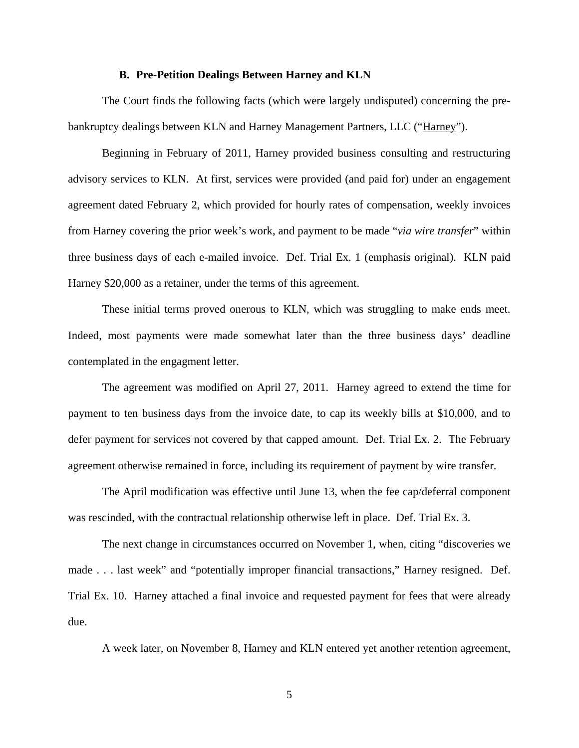## **B. Pre-Petition Dealings Between Harney and KLN**

The Court finds the following facts (which were largely undisputed) concerning the prebankruptcy dealings between KLN and Harney Management Partners, LLC ("Harney").

Beginning in February of 2011, Harney provided business consulting and restructuring advisory services to KLN. At first, services were provided (and paid for) under an engagement agreement dated February 2, which provided for hourly rates of compensation, weekly invoices from Harney covering the prior week's work, and payment to be made "*via wire transfer*" within three business days of each e-mailed invoice. Def. Trial Ex. 1 (emphasis original). KLN paid Harney \$20,000 as a retainer, under the terms of this agreement.

These initial terms proved onerous to KLN, which was struggling to make ends meet. Indeed, most payments were made somewhat later than the three business days' deadline contemplated in the engagment letter.

The agreement was modified on April 27, 2011. Harney agreed to extend the time for payment to ten business days from the invoice date, to cap its weekly bills at \$10,000, and to defer payment for services not covered by that capped amount. Def. Trial Ex. 2. The February agreement otherwise remained in force, including its requirement of payment by wire transfer.

The April modification was effective until June 13, when the fee cap/deferral component was rescinded, with the contractual relationship otherwise left in place. Def. Trial Ex. 3.

The next change in circumstances occurred on November 1, when, citing "discoveries we made . . . last week" and "potentially improper financial transactions," Harney resigned. Def. Trial Ex. 10. Harney attached a final invoice and requested payment for fees that were already due.

A week later, on November 8, Harney and KLN entered yet another retention agreement,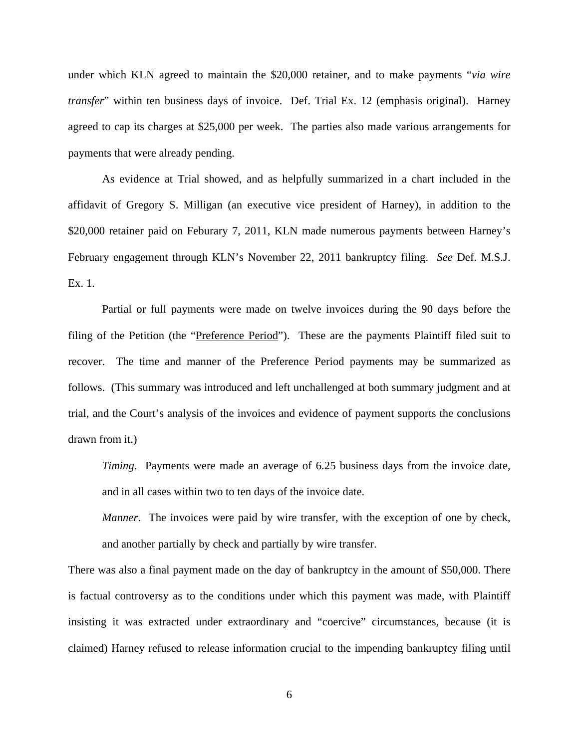under which KLN agreed to maintain the \$20,000 retainer, and to make payments "*via wire transfer*" within ten business days of invoice. Def. Trial Ex. 12 (emphasis original). Harney agreed to cap its charges at \$25,000 per week. The parties also made various arrangements for payments that were already pending.

As evidence at Trial showed, and as helpfully summarized in a chart included in the affidavit of Gregory S. Milligan (an executive vice president of Harney), in addition to the \$20,000 retainer paid on Feburary 7, 2011, KLN made numerous payments between Harney's February engagement through KLN's November 22, 2011 bankruptcy filing. *See* Def. M.S.J. Ex. 1.

Partial or full payments were made on twelve invoices during the 90 days before the filing of the Petition (the "Preference Period"). These are the payments Plaintiff filed suit to recover. The time and manner of the Preference Period payments may be summarized as follows. (This summary was introduced and left unchallenged at both summary judgment and at trial, and the Court's analysis of the invoices and evidence of payment supports the conclusions drawn from it.)

*Timing*. Payments were made an average of 6.25 business days from the invoice date, and in all cases within two to ten days of the invoice date.

*Manner*. The invoices were paid by wire transfer, with the exception of one by check, and another partially by check and partially by wire transfer.

There was also a final payment made on the day of bankruptcy in the amount of \$50,000. There is factual controversy as to the conditions under which this payment was made, with Plaintiff insisting it was extracted under extraordinary and "coercive" circumstances, because (it is claimed) Harney refused to release information crucial to the impending bankruptcy filing until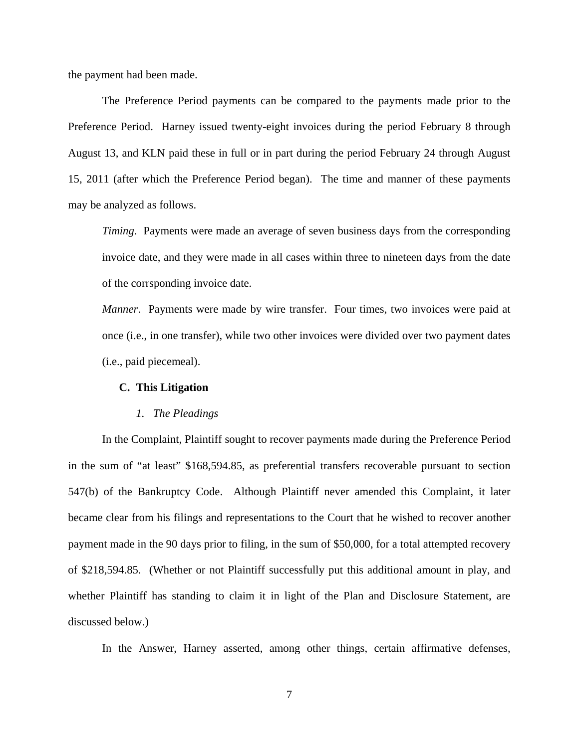the payment had been made.

The Preference Period payments can be compared to the payments made prior to the Preference Period. Harney issued twenty-eight invoices during the period February 8 through August 13, and KLN paid these in full or in part during the period February 24 through August 15, 2011 (after which the Preference Period began). The time and manner of these payments may be analyzed as follows.

*Timing*. Payments were made an average of seven business days from the corresponding invoice date, and they were made in all cases within three to nineteen days from the date of the corrsponding invoice date.

*Manner*. Payments were made by wire transfer. Four times, two invoices were paid at once (i.e., in one transfer), while two other invoices were divided over two payment dates (i.e., paid piecemeal).

## **C. This Litigation**

#### *1. The Pleadings*

In the Complaint, Plaintiff sought to recover payments made during the Preference Period in the sum of "at least" \$168,594.85, as preferential transfers recoverable pursuant to section 547(b) of the Bankruptcy Code. Although Plaintiff never amended this Complaint, it later became clear from his filings and representations to the Court that he wished to recover another payment made in the 90 days prior to filing, in the sum of \$50,000, for a total attempted recovery of \$218,594.85. (Whether or not Plaintiff successfully put this additional amount in play, and whether Plaintiff has standing to claim it in light of the Plan and Disclosure Statement, are discussed below.)

In the Answer, Harney asserted, among other things, certain affirmative defenses,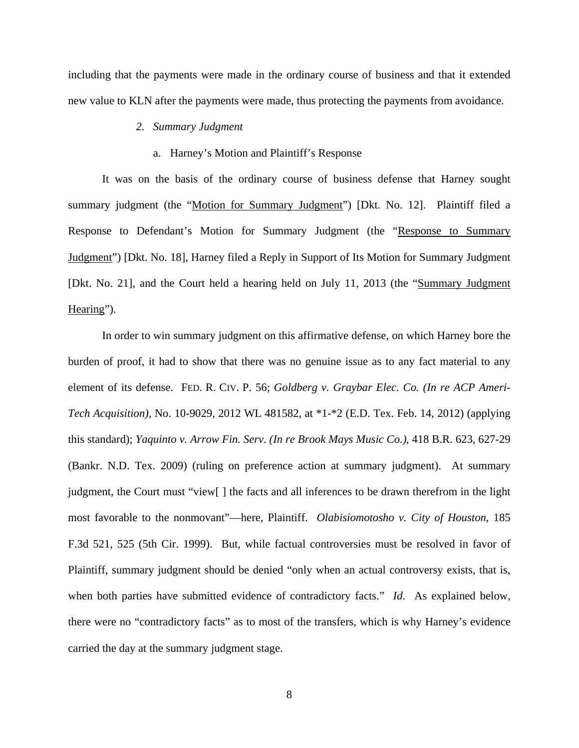including that the payments were made in the ordinary course of business and that it extended new value to KLN after the payments were made, thus protecting the payments from avoidance.

## *2. Summary Judgment*

## a. Harney's Motion and Plaintiff's Response

It was on the basis of the ordinary course of business defense that Harney sought summary judgment (the "Motion for Summary Judgment") [Dkt. No. 12]. Plaintiff filed a Response to Defendant's Motion for Summary Judgment (the "Response to Summary Judgment") [Dkt. No. 18], Harney filed a Reply in Support of Its Motion for Summary Judgment [Dkt. No. 21], and the Court held a hearing held on July 11, 2013 (the "Summary Judgment Hearing").

In order to win summary judgment on this affirmative defense, on which Harney bore the burden of proof, it had to show that there was no genuine issue as to any fact material to any element of its defense. FED. R. CIV. P. 56; *Goldberg v. Graybar Elec. Co. (In re ACP Ameri-Tech Acquisition)*, No. 10-9029, 2012 WL 481582, at \*1-\*2 (E.D. Tex. Feb. 14, 2012) (applying this standard); *Yaquinto v. Arrow Fin. Serv. (In re Brook Mays Music Co.)*, 418 B.R. 623, 627-29 (Bankr. N.D. Tex. 2009) (ruling on preference action at summary judgment). At summary judgment, the Court must "view[ ] the facts and all inferences to be drawn therefrom in the light most favorable to the nonmovant"—here, Plaintiff. *Olabisiomotosho v. City of Houston*, 185 F.3d 521, 525 (5th Cir. 1999). But, while factual controversies must be resolved in favor of Plaintiff, summary judgment should be denied "only when an actual controversy exists, that is, when both parties have submitted evidence of contradictory facts." *Id*. As explained below, there were no "contradictory facts" as to most of the transfers, which is why Harney's evidence carried the day at the summary judgment stage.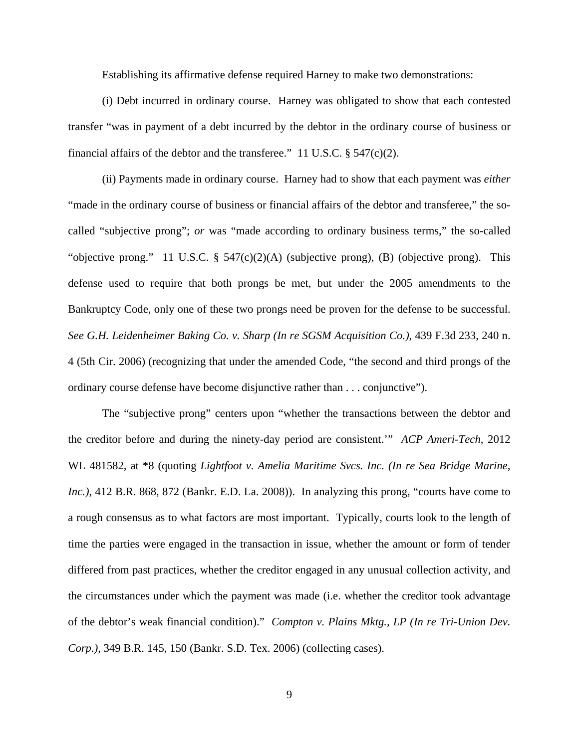Establishing its affirmative defense required Harney to make two demonstrations:

(i) Debt incurred in ordinary course. Harney was obligated to show that each contested transfer "was in payment of a debt incurred by the debtor in the ordinary course of business or financial affairs of the debtor and the transferee." 11 U.S.C.  $\S$  547(c)(2).

(ii) Payments made in ordinary course. Harney had to show that each payment was *either* "made in the ordinary course of business or financial affairs of the debtor and transferee," the socalled "subjective prong"; *or* was "made according to ordinary business terms," the so-called "objective prong." 11 U.S.C.  $\S$  547(c)(2)(A) (subjective prong), (B) (objective prong). This defense used to require that both prongs be met, but under the 2005 amendments to the Bankruptcy Code, only one of these two prongs need be proven for the defense to be successful. *See G.H. Leidenheimer Baking Co. v. Sharp (In re SGSM Acquisition Co.)*, 439 F.3d 233, 240 n. 4 (5th Cir. 2006) (recognizing that under the amended Code, "the second and third prongs of the ordinary course defense have become disjunctive rather than . . . conjunctive").

The "subjective prong" centers upon "whether the transactions between the debtor and the creditor before and during the ninety-day period are consistent.'" *ACP Ameri-Tech*, 2012 WL 481582, at \*8 (quoting *Lightfoot v. Amelia Maritime Svcs. Inc. (In re Sea Bridge Marine, Inc.)*, 412 B.R. 868, 872 (Bankr. E.D. La. 2008)). In analyzing this prong, "courts have come to a rough consensus as to what factors are most important. Typically, courts look to the length of time the parties were engaged in the transaction in issue, whether the amount or form of tender differed from past practices, whether the creditor engaged in any unusual collection activity, and the circumstances under which the payment was made (i.e. whether the creditor took advantage of the debtor's weak financial condition)." *Compton v. Plains Mktg., LP (In re Tri-Union Dev. Corp.)*, 349 B.R. 145, 150 (Bankr. S.D. Tex. 2006) (collecting cases).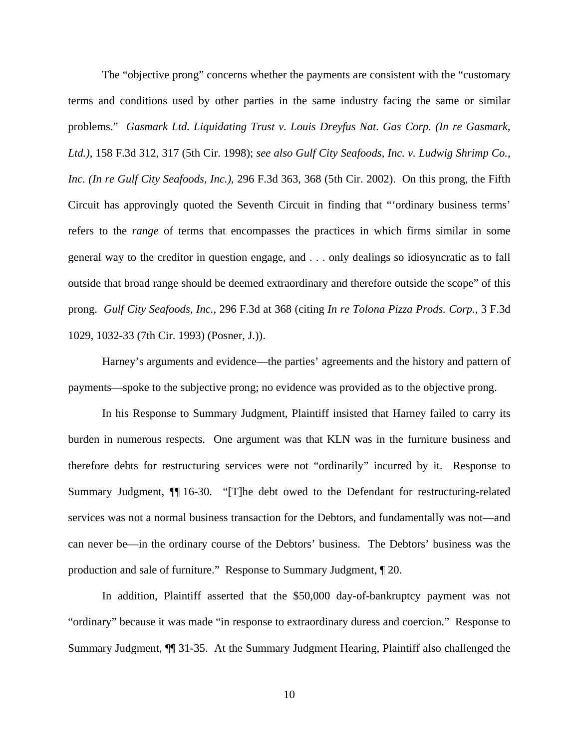The "objective prong" concerns whether the payments are consistent with the "customary terms and conditions used by other parties in the same industry facing the same or similar problems." *Gasmark Ltd. Liquidating Trust v. Louis Dreyfus Nat. Gas Corp. (In re Gasmark, Ltd.)*, 158 F.3d 312, 317 (5th Cir. 1998); *see also Gulf City Seafoods, Inc. v. Ludwig Shrimp Co., Inc. (In re Gulf City Seafoods, Inc.)*, 296 F.3d 363, 368 (5th Cir. 2002). On this prong, the Fifth Circuit has approvingly quoted the Seventh Circuit in finding that "'ordinary business terms' refers to the *range* of terms that encompasses the practices in which firms similar in some general way to the creditor in question engage, and . . . only dealings so idiosyncratic as to fall outside that broad range should be deemed extraordinary and therefore outside the scope" of this prong. *Gulf City Seafoods, Inc.*, 296 F.3d at 368 (citing *In re Tolona Pizza Prods. Corp.*, 3 F.3d 1029, 1032-33 (7th Cir. 1993) (Posner, J.)).

Harney's arguments and evidence—the parties' agreements and the history and pattern of payments—spoke to the subjective prong; no evidence was provided as to the objective prong.

In his Response to Summary Judgment, Plaintiff insisted that Harney failed to carry its burden in numerous respects. One argument was that KLN was in the furniture business and therefore debts for restructuring services were not "ordinarily" incurred by it. Response to Summary Judgment,  $\P$  16-30. "[T]he debt owed to the Defendant for restructuring-related services was not a normal business transaction for the Debtors, and fundamentally was not—and can never be—in the ordinary course of the Debtors' business. The Debtors' business was the production and sale of furniture." Response to Summary Judgment, ¶ 20.

In addition, Plaintiff asserted that the \$50,000 day-of-bankruptcy payment was not "ordinary" because it was made "in response to extraordinary duress and coercion." Response to Summary Judgment, ¶¶ 31-35. At the Summary Judgment Hearing, Plaintiff also challenged the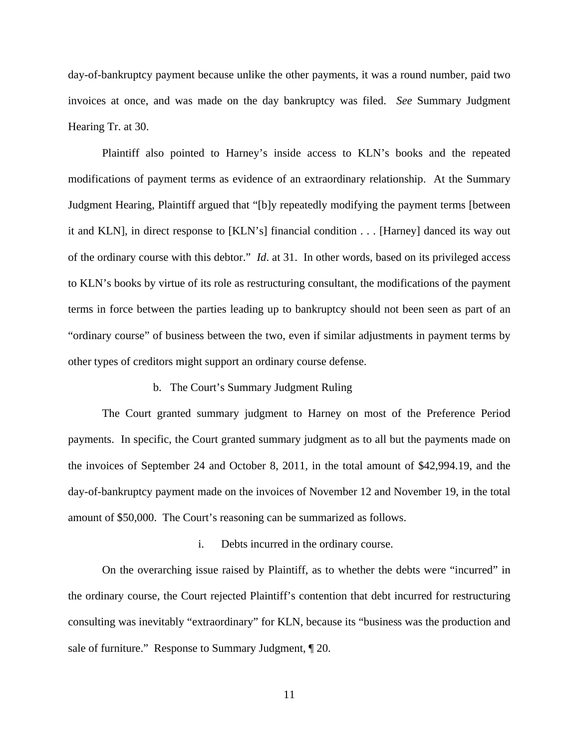day-of-bankruptcy payment because unlike the other payments, it was a round number, paid two invoices at once, and was made on the day bankruptcy was filed. *See* Summary Judgment Hearing Tr. at 30.

Plaintiff also pointed to Harney's inside access to KLN's books and the repeated modifications of payment terms as evidence of an extraordinary relationship. At the Summary Judgment Hearing, Plaintiff argued that "[b]y repeatedly modifying the payment terms [between it and KLN], in direct response to [KLN's] financial condition . . . [Harney] danced its way out of the ordinary course with this debtor." *Id*. at 31. In other words, based on its privileged access to KLN's books by virtue of its role as restructuring consultant, the modifications of the payment terms in force between the parties leading up to bankruptcy should not been seen as part of an "ordinary course" of business between the two, even if similar adjustments in payment terms by other types of creditors might support an ordinary course defense.

## b. The Court's Summary Judgment Ruling

The Court granted summary judgment to Harney on most of the Preference Period payments. In specific, the Court granted summary judgment as to all but the payments made on the invoices of September 24 and October 8, 2011, in the total amount of \$42,994.19, and the day-of-bankruptcy payment made on the invoices of November 12 and November 19, in the total amount of \$50,000. The Court's reasoning can be summarized as follows.

#### i. Debts incurred in the ordinary course.

On the overarching issue raised by Plaintiff, as to whether the debts were "incurred" in the ordinary course, the Court rejected Plaintiff's contention that debt incurred for restructuring consulting was inevitably "extraordinary" for KLN, because its "business was the production and sale of furniture." Response to Summary Judgment,  $\llbracket 20$ .

11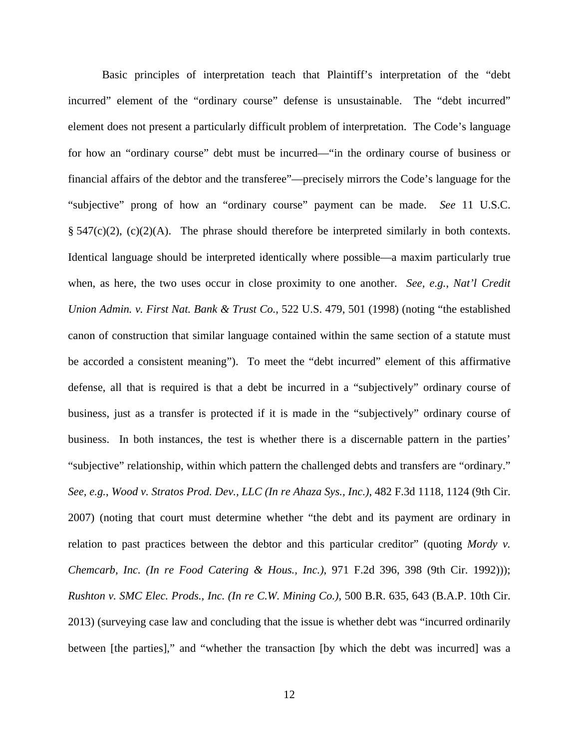Basic principles of interpretation teach that Plaintiff's interpretation of the "debt incurred" element of the "ordinary course" defense is unsustainable. The "debt incurred" element does not present a particularly difficult problem of interpretation. The Code's language for how an "ordinary course" debt must be incurred—"in the ordinary course of business or financial affairs of the debtor and the transferee"—precisely mirrors the Code's language for the "subjective" prong of how an "ordinary course" payment can be made. *See* 11 U.S.C.  $\S$  547(c)(2), (c)(2)(A). The phrase should therefore be interpreted similarly in both contexts. Identical language should be interpreted identically where possible—a maxim particularly true when, as here, the two uses occur in close proximity to one another. *See, e.g.*, *Nat'l Credit Union Admin. v. First Nat. Bank & Trust Co.*, 522 U.S. 479, 501 (1998) (noting "the established canon of construction that similar language contained within the same section of a statute must be accorded a consistent meaning"). To meet the "debt incurred" element of this affirmative defense, all that is required is that a debt be incurred in a "subjectively" ordinary course of business, just as a transfer is protected if it is made in the "subjectively" ordinary course of business. In both instances, the test is whether there is a discernable pattern in the parties' "subjective" relationship, within which pattern the challenged debts and transfers are "ordinary." *See, e.g.*, *Wood v. Stratos Prod. Dev., LLC (In re Ahaza Sys., Inc.)*, 482 F.3d 1118, 1124 (9th Cir. 2007) (noting that court must determine whether "the debt and its payment are ordinary in relation to past practices between the debtor and this particular creditor" (quoting *Mordy v. Chemcarb, Inc. (In re Food Catering & Hous., Inc.)*, 971 F.2d 396, 398 (9th Cir. 1992))); *Rushton v. SMC Elec. Prods., Inc. (In re C.W. Mining Co.)*, 500 B.R. 635, 643 (B.A.P. 10th Cir. 2013) (surveying case law and concluding that the issue is whether debt was "incurred ordinarily between [the parties]," and "whether the transaction [by which the debt was incurred] was a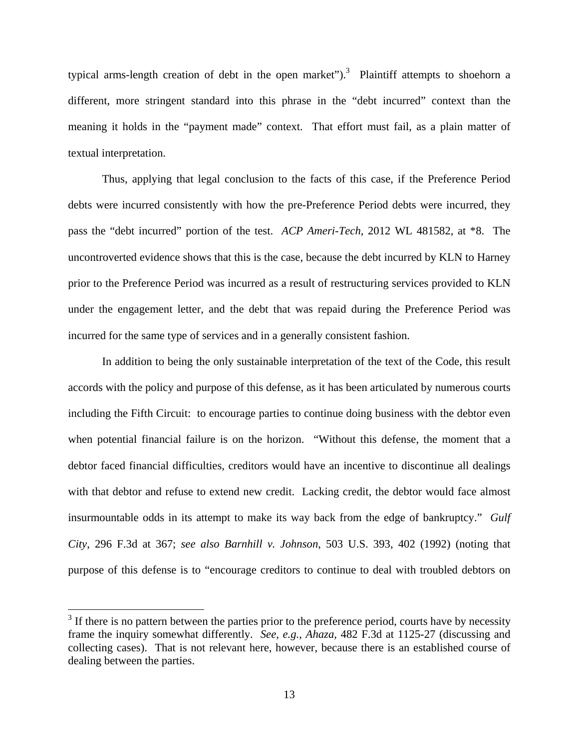typical arms-length creation of debt in the open market").<sup>3</sup> Plaintiff attempts to shoehorn a different, more stringent standard into this phrase in the "debt incurred" context than the meaning it holds in the "payment made" context. That effort must fail, as a plain matter of textual interpretation.

Thus, applying that legal conclusion to the facts of this case, if the Preference Period debts were incurred consistently with how the pre-Preference Period debts were incurred, they pass the "debt incurred" portion of the test. *ACP Ameri-Tech*, 2012 WL 481582, at \*8. The uncontroverted evidence shows that this is the case, because the debt incurred by KLN to Harney prior to the Preference Period was incurred as a result of restructuring services provided to KLN under the engagement letter, and the debt that was repaid during the Preference Period was incurred for the same type of services and in a generally consistent fashion.

In addition to being the only sustainable interpretation of the text of the Code, this result accords with the policy and purpose of this defense, as it has been articulated by numerous courts including the Fifth Circuit: to encourage parties to continue doing business with the debtor even when potential financial failure is on the horizon. "Without this defense, the moment that a debtor faced financial difficulties, creditors would have an incentive to discontinue all dealings with that debtor and refuse to extend new credit. Lacking credit, the debtor would face almost insurmountable odds in its attempt to make its way back from the edge of bankruptcy." *Gulf City*, 296 F.3d at 367; *see also Barnhill v. Johnson*, 503 U.S. 393, 402 (1992) (noting that purpose of this defense is to "encourage creditors to continue to deal with troubled debtors on

 $\overline{a}$ 

 $3$  If there is no pattern between the parties prior to the preference period, courts have by necessity frame the inquiry somewhat differently. *See, e.g.*, *Ahaza*, 482 F.3d at 1125-27 (discussing and collecting cases). That is not relevant here, however, because there is an established course of dealing between the parties.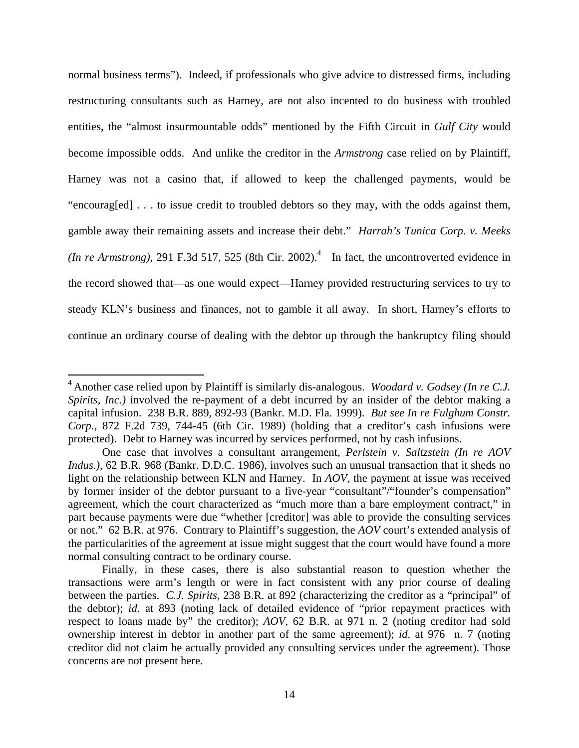normal business terms"). Indeed, if professionals who give advice to distressed firms, including restructuring consultants such as Harney, are not also incented to do business with troubled entities, the "almost insurmountable odds" mentioned by the Fifth Circuit in *Gulf City* would become impossible odds. And unlike the creditor in the *Armstrong* case relied on by Plaintiff, Harney was not a casino that, if allowed to keep the challenged payments, would be "encourag[ed] . . . to issue credit to troubled debtors so they may, with the odds against them, gamble away their remaining assets and increase their debt." *Harrah's Tunica Corp. v. Meeks (In re Armstrong)*, 291 F.3d 517, 525 (8th Cir. 2002).<sup>4</sup> In fact, the uncontroverted evidence in the record showed that—as one would expect—Harney provided restructuring services to try to steady KLN's business and finances, not to gamble it all away. In short, Harney's efforts to continue an ordinary course of dealing with the debtor up through the bankruptcy filing should

 $\overline{a}$ 

<sup>4</sup> Another case relied upon by Plaintiff is similarly dis-analogous. *Woodard v. Godsey (In re C.J. Spirits, Inc.)* involved the re-payment of a debt incurred by an insider of the debtor making a capital infusion. 238 B.R. 889, 892-93 (Bankr. M.D. Fla. 1999). *But see In re Fulghum Constr. Corp.*, 872 F.2d 739, 744-45 (6th Cir. 1989) (holding that a creditor's cash infusions were protected). Debt to Harney was incurred by services performed, not by cash infusions.

One case that involves a consultant arrangement, *Perlstein v. Saltzstein (In re AOV Indus.*), 62 B.R. 968 (Bankr. D.D.C. 1986), involves such an unusual transaction that it sheds no light on the relationship between KLN and Harney. In *AOV*, the payment at issue was received by former insider of the debtor pursuant to a five-year "consultant"/"founder's compensation" agreement, which the court characterized as "much more than a bare employment contract," in part because payments were due "whether [creditor] was able to provide the consulting services or not." 62 B.R. at 976. Contrary to Plaintiff's suggestion, the *AOV* court's extended analysis of the particularities of the agreement at issue might suggest that the court would have found a more normal consulting contract to be ordinary course.

Finally, in these cases, there is also substantial reason to question whether the transactions were arm's length or were in fact consistent with any prior course of dealing between the parties. *C.J. Spirits*, 238 B.R. at 892 (characterizing the creditor as a "principal" of the debtor); *id*. at 893 (noting lack of detailed evidence of "prior repayment practices with respect to loans made by" the creditor); *AOV*, 62 B.R. at 971 n. 2 (noting creditor had sold ownership interest in debtor in another part of the same agreement); *id*. at 976 n. 7 (noting creditor did not claim he actually provided any consulting services under the agreement). Those concerns are not present here.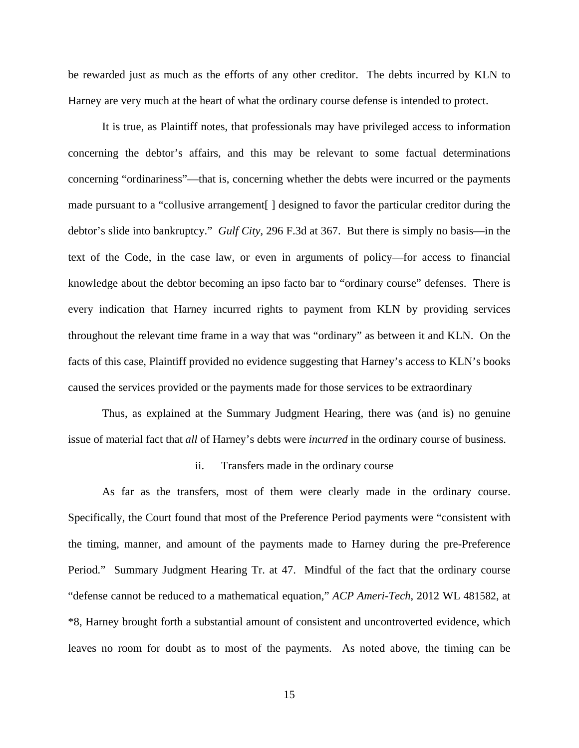be rewarded just as much as the efforts of any other creditor. The debts incurred by KLN to Harney are very much at the heart of what the ordinary course defense is intended to protect.

It is true, as Plaintiff notes, that professionals may have privileged access to information concerning the debtor's affairs, and this may be relevant to some factual determinations concerning "ordinariness"—that is, concerning whether the debts were incurred or the payments made pursuant to a "collusive arrangement[ ] designed to favor the particular creditor during the debtor's slide into bankruptcy." *Gulf City*, 296 F.3d at 367. But there is simply no basis—in the text of the Code, in the case law, or even in arguments of policy—for access to financial knowledge about the debtor becoming an ipso facto bar to "ordinary course" defenses. There is every indication that Harney incurred rights to payment from KLN by providing services throughout the relevant time frame in a way that was "ordinary" as between it and KLN. On the facts of this case, Plaintiff provided no evidence suggesting that Harney's access to KLN's books caused the services provided or the payments made for those services to be extraordinary

Thus, as explained at the Summary Judgment Hearing, there was (and is) no genuine issue of material fact that *all* of Harney's debts were *incurred* in the ordinary course of business.

#### ii. Transfers made in the ordinary course

As far as the transfers, most of them were clearly made in the ordinary course. Specifically, the Court found that most of the Preference Period payments were "consistent with the timing, manner, and amount of the payments made to Harney during the pre-Preference Period." Summary Judgment Hearing Tr. at 47. Mindful of the fact that the ordinary course "defense cannot be reduced to a mathematical equation," *ACP Ameri-Tech*, 2012 WL 481582, at \*8, Harney brought forth a substantial amount of consistent and uncontroverted evidence, which leaves no room for doubt as to most of the payments. As noted above, the timing can be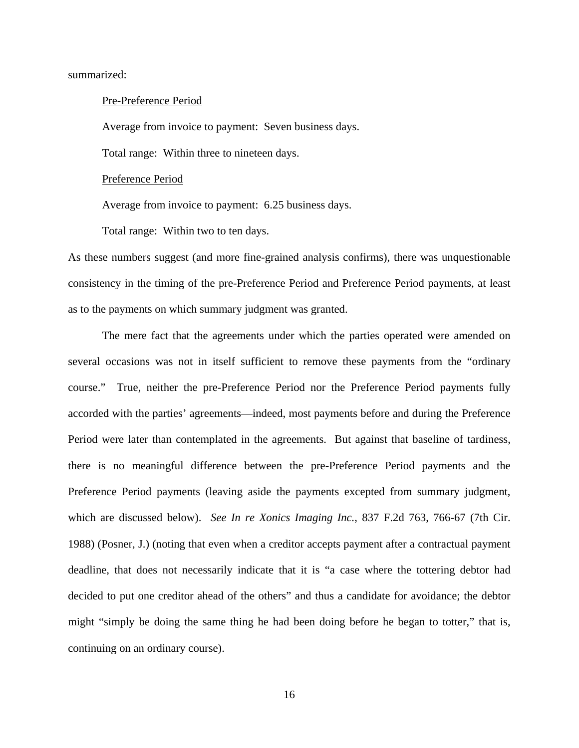summarized:

#### Pre-Preference Period

Average from invoice to payment: Seven business days.

Total range: Within three to nineteen days.

#### Preference Period

Average from invoice to payment: 6.25 business days.

Total range: Within two to ten days.

As these numbers suggest (and more fine-grained analysis confirms), there was unquestionable consistency in the timing of the pre-Preference Period and Preference Period payments, at least as to the payments on which summary judgment was granted.

The mere fact that the agreements under which the parties operated were amended on several occasions was not in itself sufficient to remove these payments from the "ordinary course." True, neither the pre-Preference Period nor the Preference Period payments fully accorded with the parties' agreements—indeed, most payments before and during the Preference Period were later than contemplated in the agreements. But against that baseline of tardiness, there is no meaningful difference between the pre-Preference Period payments and the Preference Period payments (leaving aside the payments excepted from summary judgment, which are discussed below). *See In re Xonics Imaging Inc.*, 837 F.2d 763, 766-67 (7th Cir. 1988) (Posner, J.) (noting that even when a creditor accepts payment after a contractual payment deadline, that does not necessarily indicate that it is "a case where the tottering debtor had decided to put one creditor ahead of the others" and thus a candidate for avoidance; the debtor might "simply be doing the same thing he had been doing before he began to totter," that is, continuing on an ordinary course).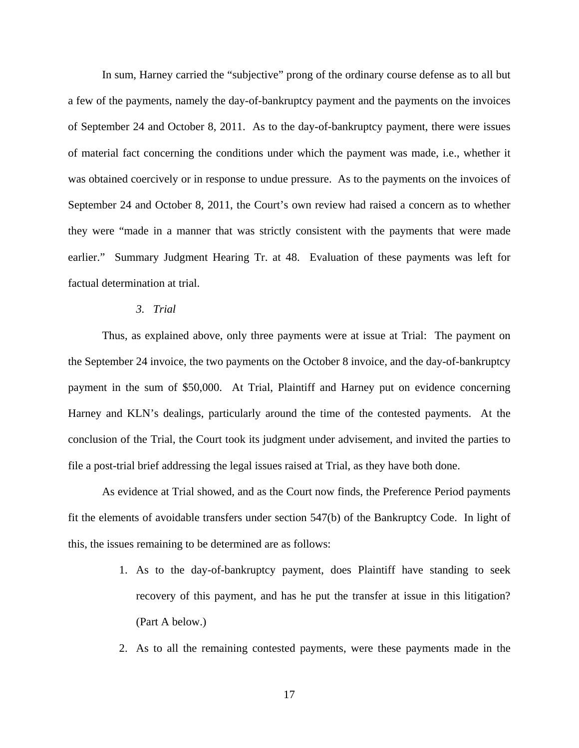In sum, Harney carried the "subjective" prong of the ordinary course defense as to all but a few of the payments, namely the day-of-bankruptcy payment and the payments on the invoices of September 24 and October 8, 2011. As to the day-of-bankruptcy payment, there were issues of material fact concerning the conditions under which the payment was made, i.e., whether it was obtained coercively or in response to undue pressure. As to the payments on the invoices of September 24 and October 8, 2011, the Court's own review had raised a concern as to whether they were "made in a manner that was strictly consistent with the payments that were made earlier." Summary Judgment Hearing Tr. at 48. Evaluation of these payments was left for factual determination at trial.

## *3. Trial*

Thus, as explained above, only three payments were at issue at Trial: The payment on the September 24 invoice, the two payments on the October 8 invoice, and the day-of-bankruptcy payment in the sum of \$50,000. At Trial, Plaintiff and Harney put on evidence concerning Harney and KLN's dealings, particularly around the time of the contested payments. At the conclusion of the Trial, the Court took its judgment under advisement, and invited the parties to file a post-trial brief addressing the legal issues raised at Trial, as they have both done.

As evidence at Trial showed, and as the Court now finds, the Preference Period payments fit the elements of avoidable transfers under section 547(b) of the Bankruptcy Code. In light of this, the issues remaining to be determined are as follows:

- 1. As to the day-of-bankruptcy payment, does Plaintiff have standing to seek recovery of this payment, and has he put the transfer at issue in this litigation? (Part A below.)
- 2. As to all the remaining contested payments, were these payments made in the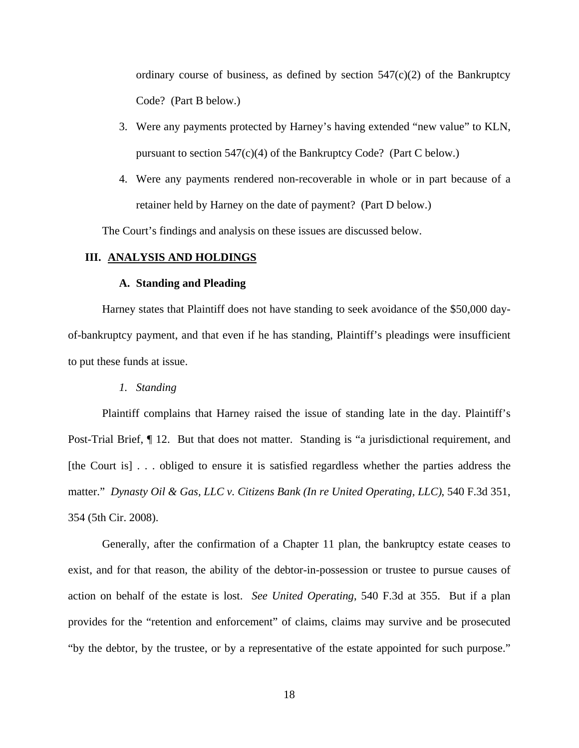ordinary course of business, as defined by section  $547(c)(2)$  of the Bankruptcy Code? (Part B below.)

- 3. Were any payments protected by Harney's having extended "new value" to KLN, pursuant to section 547(c)(4) of the Bankruptcy Code? (Part C below.)
- 4. Were any payments rendered non-recoverable in whole or in part because of a retainer held by Harney on the date of payment? (Part D below.)

The Court's findings and analysis on these issues are discussed below.

### **III. ANALYSIS AND HOLDINGS**

#### **A. Standing and Pleading**

Harney states that Plaintiff does not have standing to seek avoidance of the \$50,000 dayof-bankruptcy payment, and that even if he has standing, Plaintiff's pleadings were insufficient to put these funds at issue.

*1. Standing* 

Plaintiff complains that Harney raised the issue of standing late in the day. Plaintiff's Post-Trial Brief, ¶ 12. But that does not matter. Standing is "a jurisdictional requirement, and [the Court is] . . . obliged to ensure it is satisfied regardless whether the parties address the matter." *Dynasty Oil & Gas, LLC v. Citizens Bank (In re United Operating, LLC)*, 540 F.3d 351, 354 (5th Cir. 2008).

Generally, after the confirmation of a Chapter 11 plan, the bankruptcy estate ceases to exist, and for that reason, the ability of the debtor-in-possession or trustee to pursue causes of action on behalf of the estate is lost. *See United Operating*, 540 F.3d at 355. But if a plan provides for the "retention and enforcement" of claims, claims may survive and be prosecuted "by the debtor, by the trustee, or by a representative of the estate appointed for such purpose."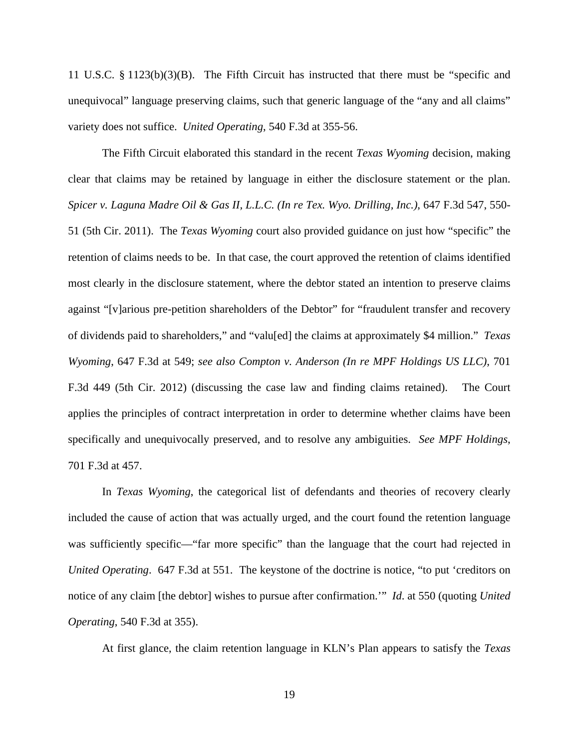11 U.S.C. § 1123(b)(3)(B). The Fifth Circuit has instructed that there must be "specific and unequivocal" language preserving claims, such that generic language of the "any and all claims" variety does not suffice. *United Operating*, 540 F.3d at 355-56.

The Fifth Circuit elaborated this standard in the recent *Texas Wyoming* decision, making clear that claims may be retained by language in either the disclosure statement or the plan. *Spicer v. Laguna Madre Oil & Gas II, L.L.C. (In re Tex. Wyo. Drilling, Inc.)*, 647 F.3d 547, 550- 51 (5th Cir. 2011). The *Texas Wyoming* court also provided guidance on just how "specific" the retention of claims needs to be. In that case, the court approved the retention of claims identified most clearly in the disclosure statement, where the debtor stated an intention to preserve claims against "[v]arious pre-petition shareholders of the Debtor" for "fraudulent transfer and recovery of dividends paid to shareholders," and "valu[ed] the claims at approximately \$4 million." *Texas Wyoming*, 647 F.3d at 549; *see also Compton v. Anderson (In re MPF Holdings US LLC)*, 701 F.3d 449 (5th Cir. 2012) (discussing the case law and finding claims retained). The Court applies the principles of contract interpretation in order to determine whether claims have been specifically and unequivocally preserved, and to resolve any ambiguities. *See MPF Holdings*, 701 F.3d at 457.

In *Texas Wyoming*, the categorical list of defendants and theories of recovery clearly included the cause of action that was actually urged, and the court found the retention language was sufficiently specific—"far more specific" than the language that the court had rejected in *United Operating*. 647 F.3d at 551. The keystone of the doctrine is notice, "to put 'creditors on notice of any claim [the debtor] wishes to pursue after confirmation.'" *Id*. at 550 (quoting *United Operating*, 540 F.3d at 355).

At first glance, the claim retention language in KLN's Plan appears to satisfy the *Texas*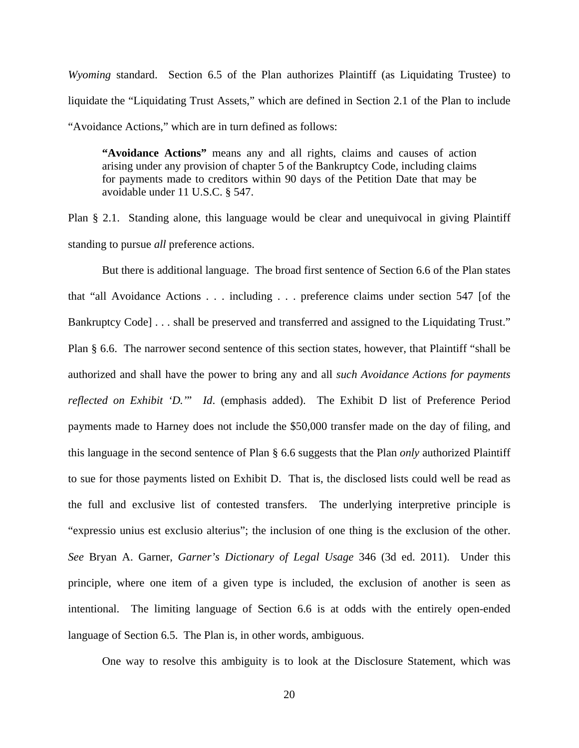*Wyoming* standard. Section 6.5 of the Plan authorizes Plaintiff (as Liquidating Trustee) to liquidate the "Liquidating Trust Assets," which are defined in Section 2.1 of the Plan to include "Avoidance Actions," which are in turn defined as follows:

**"Avoidance Actions"** means any and all rights, claims and causes of action arising under any provision of chapter 5 of the Bankruptcy Code, including claims for payments made to creditors within 90 days of the Petition Date that may be avoidable under 11 U.S.C. § 547.

Plan § 2.1. Standing alone, this language would be clear and unequivocal in giving Plaintiff standing to pursue *all* preference actions.

But there is additional language. The broad first sentence of Section 6.6 of the Plan states that "all Avoidance Actions . . . including . . . preference claims under section 547 [of the Bankruptcy Code] . . . shall be preserved and transferred and assigned to the Liquidating Trust." Plan § 6.6. The narrower second sentence of this section states, however, that Plaintiff "shall be authorized and shall have the power to bring any and all *such Avoidance Actions for payments reflected on Exhibit 'D.'*" *Id*. (emphasis added). The Exhibit D list of Preference Period payments made to Harney does not include the \$50,000 transfer made on the day of filing, and this language in the second sentence of Plan § 6.6 suggests that the Plan *only* authorized Plaintiff to sue for those payments listed on Exhibit D. That is, the disclosed lists could well be read as the full and exclusive list of contested transfers. The underlying interpretive principle is "expressio unius est exclusio alterius"; the inclusion of one thing is the exclusion of the other. *See* Bryan A. Garner, *Garner's Dictionary of Legal Usage* 346 (3d ed. 2011). Under this principle, where one item of a given type is included, the exclusion of another is seen as intentional. The limiting language of Section 6.6 is at odds with the entirely open-ended language of Section 6.5. The Plan is, in other words, ambiguous.

One way to resolve this ambiguity is to look at the Disclosure Statement, which was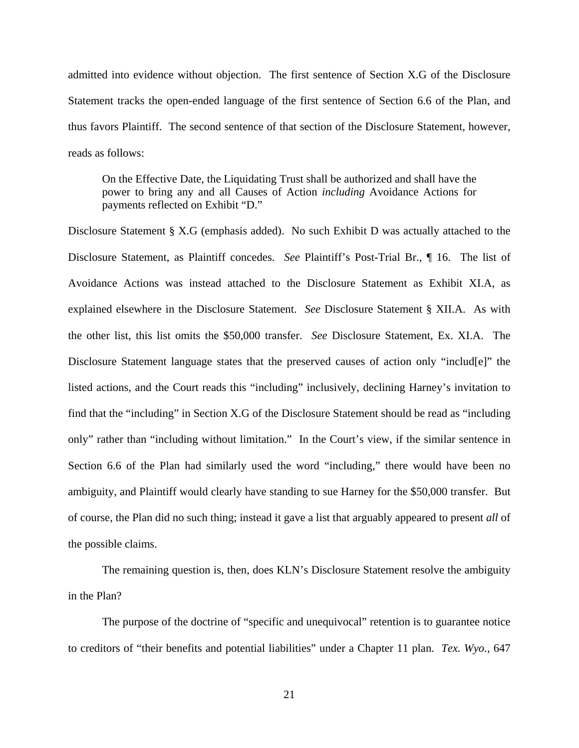admitted into evidence without objection. The first sentence of Section X.G of the Disclosure Statement tracks the open-ended language of the first sentence of Section 6.6 of the Plan, and thus favors Plaintiff. The second sentence of that section of the Disclosure Statement, however, reads as follows:

On the Effective Date, the Liquidating Trust shall be authorized and shall have the power to bring any and all Causes of Action *including* Avoidance Actions for payments reflected on Exhibit "D."

Disclosure Statement § X.G (emphasis added). No such Exhibit D was actually attached to the Disclosure Statement, as Plaintiff concedes. *See* Plaintiff's Post-Trial Br., ¶ 16. The list of Avoidance Actions was instead attached to the Disclosure Statement as Exhibit XI.A, as explained elsewhere in the Disclosure Statement. *See* Disclosure Statement § XII.A. As with the other list, this list omits the \$50,000 transfer. *See* Disclosure Statement, Ex. XI.A. The Disclosure Statement language states that the preserved causes of action only "includ[e]" the listed actions, and the Court reads this "including" inclusively, declining Harney's invitation to find that the "including" in Section X.G of the Disclosure Statement should be read as "including only" rather than "including without limitation." In the Court's view, if the similar sentence in Section 6.6 of the Plan had similarly used the word "including," there would have been no ambiguity, and Plaintiff would clearly have standing to sue Harney for the \$50,000 transfer. But of course, the Plan did no such thing; instead it gave a list that arguably appeared to present *all* of the possible claims.

The remaining question is, then, does KLN's Disclosure Statement resolve the ambiguity in the Plan?

The purpose of the doctrine of "specific and unequivocal" retention is to guarantee notice to creditors of "their benefits and potential liabilities" under a Chapter 11 plan. *Tex. Wyo.*, 647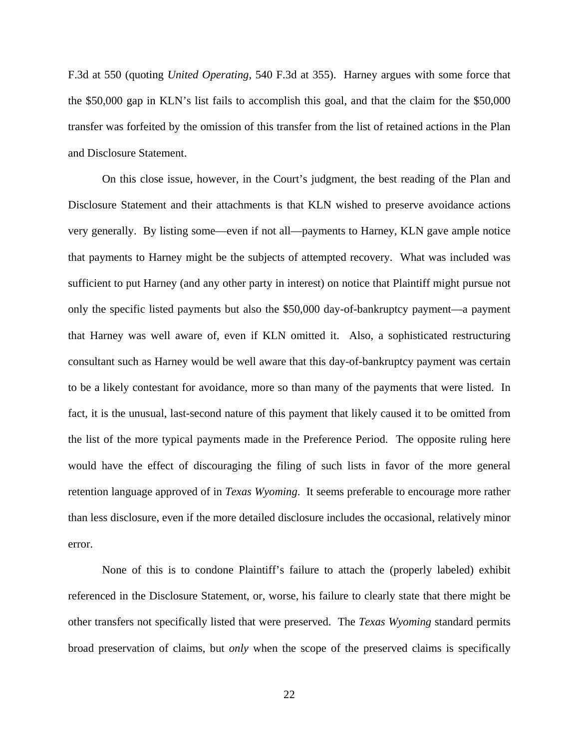F.3d at 550 (quoting *United Operating*, 540 F.3d at 355). Harney argues with some force that the \$50,000 gap in KLN's list fails to accomplish this goal, and that the claim for the \$50,000 transfer was forfeited by the omission of this transfer from the list of retained actions in the Plan and Disclosure Statement.

On this close issue, however, in the Court's judgment, the best reading of the Plan and Disclosure Statement and their attachments is that KLN wished to preserve avoidance actions very generally. By listing some—even if not all—payments to Harney, KLN gave ample notice that payments to Harney might be the subjects of attempted recovery. What was included was sufficient to put Harney (and any other party in interest) on notice that Plaintiff might pursue not only the specific listed payments but also the \$50,000 day-of-bankruptcy payment—a payment that Harney was well aware of, even if KLN omitted it. Also, a sophisticated restructuring consultant such as Harney would be well aware that this day-of-bankruptcy payment was certain to be a likely contestant for avoidance, more so than many of the payments that were listed. In fact, it is the unusual, last-second nature of this payment that likely caused it to be omitted from the list of the more typical payments made in the Preference Period. The opposite ruling here would have the effect of discouraging the filing of such lists in favor of the more general retention language approved of in *Texas Wyoming*. It seems preferable to encourage more rather than less disclosure, even if the more detailed disclosure includes the occasional, relatively minor error.

None of this is to condone Plaintiff's failure to attach the (properly labeled) exhibit referenced in the Disclosure Statement, or, worse, his failure to clearly state that there might be other transfers not specifically listed that were preserved. The *Texas Wyoming* standard permits broad preservation of claims, but *only* when the scope of the preserved claims is specifically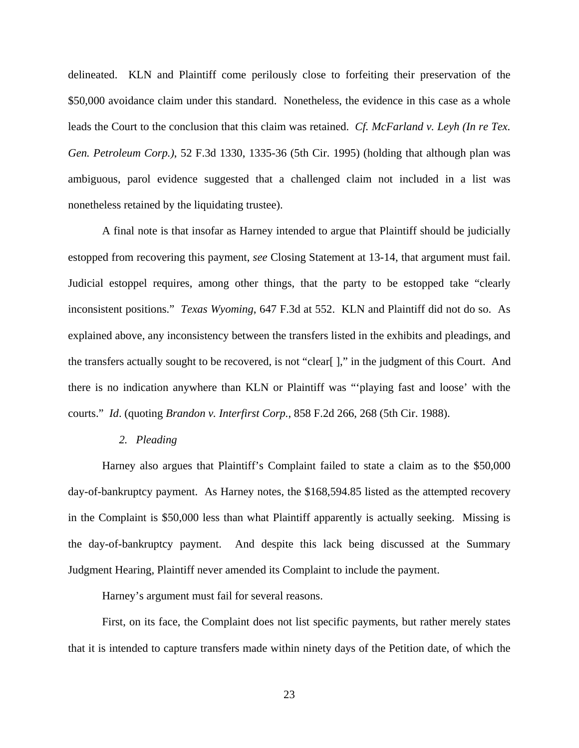delineated. KLN and Plaintiff come perilously close to forfeiting their preservation of the \$50,000 avoidance claim under this standard. Nonetheless, the evidence in this case as a whole leads the Court to the conclusion that this claim was retained. *Cf. McFarland v. Leyh (In re Tex. Gen. Petroleum Corp.)*, 52 F.3d 1330, 1335-36 (5th Cir. 1995) (holding that although plan was ambiguous, parol evidence suggested that a challenged claim not included in a list was nonetheless retained by the liquidating trustee).

A final note is that insofar as Harney intended to argue that Plaintiff should be judicially estopped from recovering this payment, *see* Closing Statement at 13-14, that argument must fail. Judicial estoppel requires, among other things, that the party to be estopped take "clearly inconsistent positions." *Texas Wyoming*, 647 F.3d at 552. KLN and Plaintiff did not do so. As explained above, any inconsistency between the transfers listed in the exhibits and pleadings, and the transfers actually sought to be recovered, is not "clear[ ]," in the judgment of this Court. And there is no indication anywhere than KLN or Plaintiff was "'playing fast and loose' with the courts." *Id*. (quoting *Brandon v. Interfirst Corp.*, 858 F.2d 266, 268 (5th Cir. 1988).

#### *2. Pleading*

Harney also argues that Plaintiff's Complaint failed to state a claim as to the \$50,000 day-of-bankruptcy payment. As Harney notes, the \$168,594.85 listed as the attempted recovery in the Complaint is \$50,000 less than what Plaintiff apparently is actually seeking. Missing is the day-of-bankruptcy payment. And despite this lack being discussed at the Summary Judgment Hearing, Plaintiff never amended its Complaint to include the payment.

Harney's argument must fail for several reasons.

First, on its face, the Complaint does not list specific payments, but rather merely states that it is intended to capture transfers made within ninety days of the Petition date, of which the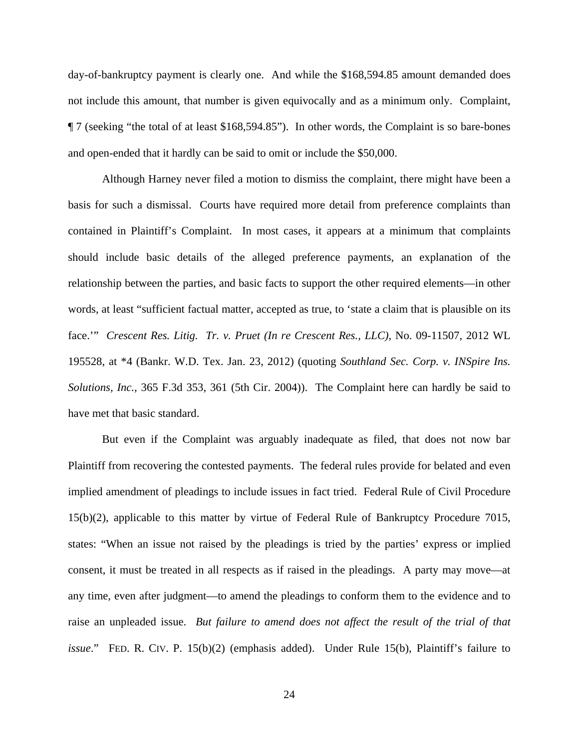day-of-bankruptcy payment is clearly one. And while the \$168,594.85 amount demanded does not include this amount, that number is given equivocally and as a minimum only. Complaint, ¶ 7 (seeking "the total of at least \$168,594.85"). In other words, the Complaint is so bare-bones and open-ended that it hardly can be said to omit or include the \$50,000.

Although Harney never filed a motion to dismiss the complaint, there might have been a basis for such a dismissal. Courts have required more detail from preference complaints than contained in Plaintiff's Complaint. In most cases, it appears at a minimum that complaints should include basic details of the alleged preference payments, an explanation of the relationship between the parties, and basic facts to support the other required elements—in other words, at least "sufficient factual matter, accepted as true, to 'state a claim that is plausible on its face.'" *Crescent Res. Litig. Tr. v. Pruet (In re Crescent Res., LLC)*, No. 09-11507, 2012 WL 195528, at \*4 (Bankr. W.D. Tex. Jan. 23, 2012) (quoting *Southland Sec. Corp. v. INSpire Ins. Solutions, Inc.*, 365 F.3d 353, 361 (5th Cir. 2004)). The Complaint here can hardly be said to have met that basic standard.

But even if the Complaint was arguably inadequate as filed, that does not now bar Plaintiff from recovering the contested payments. The federal rules provide for belated and even implied amendment of pleadings to include issues in fact tried. Federal Rule of Civil Procedure 15(b)(2), applicable to this matter by virtue of Federal Rule of Bankruptcy Procedure 7015, states: "When an issue not raised by the pleadings is tried by the parties' express or implied consent, it must be treated in all respects as if raised in the pleadings. A party may move—at any time, even after judgment—to amend the pleadings to conform them to the evidence and to raise an unpleaded issue. *But failure to amend does not affect the result of the trial of that issue*." FED. R. CIV. P. 15(b)(2) (emphasis added). Under Rule 15(b), Plaintiff's failure to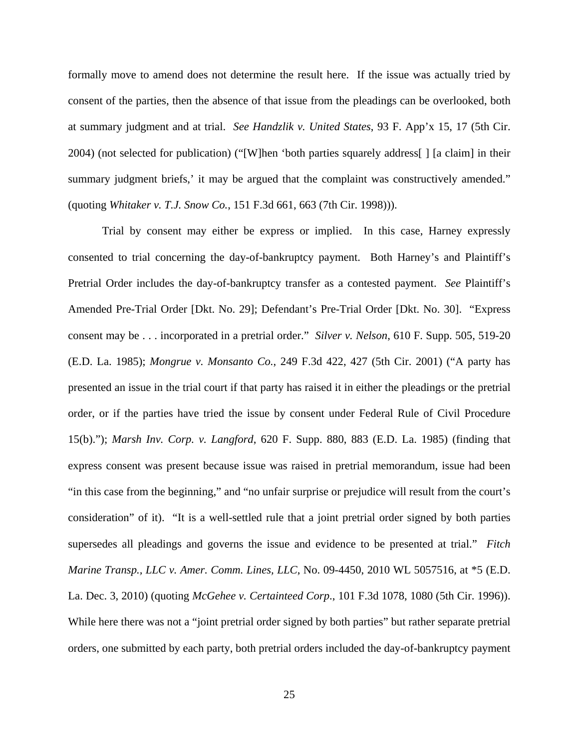formally move to amend does not determine the result here. If the issue was actually tried by consent of the parties, then the absence of that issue from the pleadings can be overlooked, both at summary judgment and at trial. *See Handzlik v. United States*, 93 F. App'x 15, 17 (5th Cir. 2004) (not selected for publication) ("[W]hen 'both parties squarely address[ ] [a claim] in their summary judgment briefs,' it may be argued that the complaint was constructively amended." (quoting *Whitaker v. T.J. Snow Co.*, 151 F.3d 661, 663 (7th Cir. 1998))).

Trial by consent may either be express or implied. In this case, Harney expressly consented to trial concerning the day-of-bankruptcy payment. Both Harney's and Plaintiff's Pretrial Order includes the day-of-bankruptcy transfer as a contested payment. *See* Plaintiff's Amended Pre-Trial Order [Dkt. No. 29]; Defendant's Pre-Trial Order [Dkt. No. 30]. "Express consent may be . . . incorporated in a pretrial order." *Silver v. Nelson*, 610 F. Supp. 505, 519-20 (E.D. La. 1985); *Mongrue v. Monsanto Co.*, 249 F.3d 422, 427 (5th Cir. 2001) ("A party has presented an issue in the trial court if that party has raised it in either the pleadings or the pretrial order, or if the parties have tried the issue by consent under Federal Rule of Civil Procedure 15(b)."); *Marsh Inv. Corp. v. Langford*, 620 F. Supp. 880, 883 (E.D. La. 1985) (finding that express consent was present because issue was raised in pretrial memorandum, issue had been "in this case from the beginning," and "no unfair surprise or prejudice will result from the court's consideration" of it). "It is a well-settled rule that a joint pretrial order signed by both parties supersedes all pleadings and governs the issue and evidence to be presented at trial." *Fitch Marine Transp., LLC v. Amer. Comm. Lines, LLC*, No. 09-4450, 2010 WL 5057516, at \*5 (E.D. La. Dec. 3, 2010) (quoting *McGehee v. Certainteed Corp*., 101 F.3d 1078, 1080 (5th Cir. 1996)). While here there was not a "joint pretrial order signed by both parties" but rather separate pretrial orders, one submitted by each party, both pretrial orders included the day-of-bankruptcy payment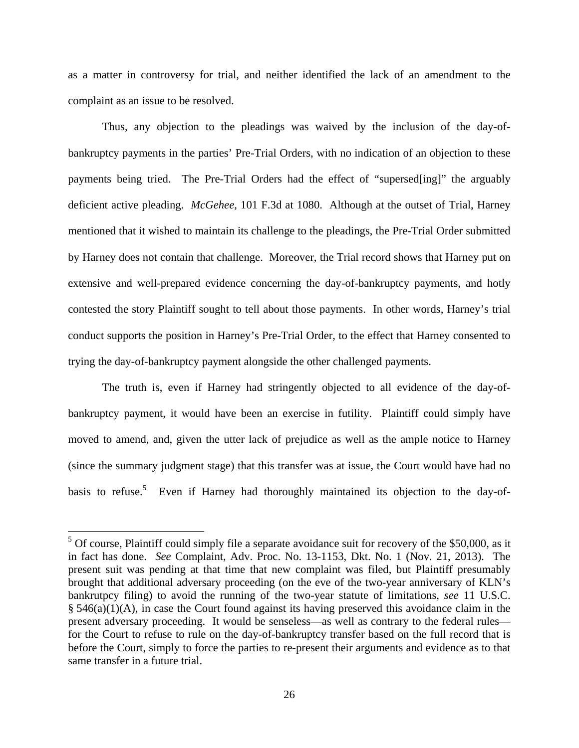as a matter in controversy for trial, and neither identified the lack of an amendment to the complaint as an issue to be resolved.

Thus, any objection to the pleadings was waived by the inclusion of the day-ofbankruptcy payments in the parties' Pre-Trial Orders, with no indication of an objection to these payments being tried. The Pre-Trial Orders had the effect of "supersed[ing]" the arguably deficient active pleading. *McGehee*, 101 F.3d at 1080. Although at the outset of Trial, Harney mentioned that it wished to maintain its challenge to the pleadings, the Pre-Trial Order submitted by Harney does not contain that challenge. Moreover, the Trial record shows that Harney put on extensive and well-prepared evidence concerning the day-of-bankruptcy payments, and hotly contested the story Plaintiff sought to tell about those payments. In other words, Harney's trial conduct supports the position in Harney's Pre-Trial Order, to the effect that Harney consented to trying the day-of-bankruptcy payment alongside the other challenged payments.

The truth is, even if Harney had stringently objected to all evidence of the day-ofbankruptcy payment, it would have been an exercise in futility. Plaintiff could simply have moved to amend, and, given the utter lack of prejudice as well as the ample notice to Harney (since the summary judgment stage) that this transfer was at issue, the Court would have had no basis to refuse.<sup>5</sup> Even if Harney had thoroughly maintained its objection to the day-of-

<sup>&</sup>lt;sup>5</sup> Of course, Plaintiff could simply file a separate avoidance suit for recovery of the \$50,000, as it in fact has done. *See* Complaint, Adv. Proc. No. 13-1153, Dkt. No. 1 (Nov. 21, 2013). The present suit was pending at that time that new complaint was filed, but Plaintiff presumably brought that additional adversary proceeding (on the eve of the two-year anniversary of KLN's bankrutpcy filing) to avoid the running of the two-year statute of limitations, *see* 11 U.S.C.  $§$  546(a)(1)(A), in case the Court found against its having preserved this avoidance claim in the present adversary proceeding. It would be senseless—as well as contrary to the federal rules for the Court to refuse to rule on the day-of-bankruptcy transfer based on the full record that is before the Court, simply to force the parties to re-present their arguments and evidence as to that same transfer in a future trial.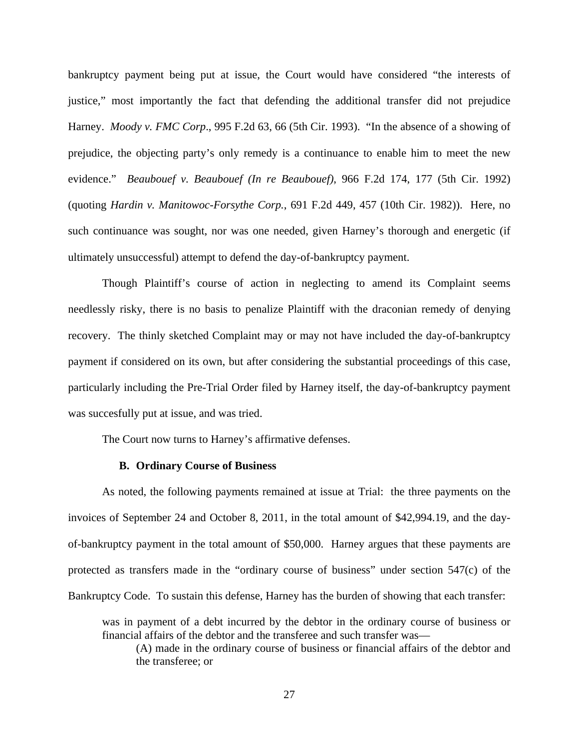bankruptcy payment being put at issue, the Court would have considered "the interests of justice," most importantly the fact that defending the additional transfer did not prejudice Harney. *Moody v. FMC Corp*., 995 F.2d 63, 66 (5th Cir. 1993). "In the absence of a showing of prejudice, the objecting party's only remedy is a continuance to enable him to meet the new evidence." *Beaubouef v. Beaubouef (In re Beaubouef)*, 966 F.2d 174, 177 (5th Cir. 1992) (quoting *Hardin v. Manitowoc-Forsythe Corp.*, 691 F.2d 449, 457 (10th Cir. 1982)). Here, no such continuance was sought, nor was one needed, given Harney's thorough and energetic (if ultimately unsuccessful) attempt to defend the day-of-bankruptcy payment.

Though Plaintiff's course of action in neglecting to amend its Complaint seems needlessly risky, there is no basis to penalize Plaintiff with the draconian remedy of denying recovery. The thinly sketched Complaint may or may not have included the day-of-bankruptcy payment if considered on its own, but after considering the substantial proceedings of this case, particularly including the Pre-Trial Order filed by Harney itself, the day-of-bankruptcy payment was succesfully put at issue, and was tried.

The Court now turns to Harney's affirmative defenses.

## **B. Ordinary Course of Business**

As noted, the following payments remained at issue at Trial: the three payments on the invoices of September 24 and October 8, 2011, in the total amount of \$42,994.19, and the dayof-bankruptcy payment in the total amount of \$50,000. Harney argues that these payments are protected as transfers made in the "ordinary course of business" under section 547(c) of the Bankruptcy Code. To sustain this defense, Harney has the burden of showing that each transfer:

was in payment of a debt incurred by the debtor in the ordinary course of business or financial affairs of the debtor and the transferee and such transfer was—

(A) made in the ordinary course of business or financial affairs of the debtor and the transferee; or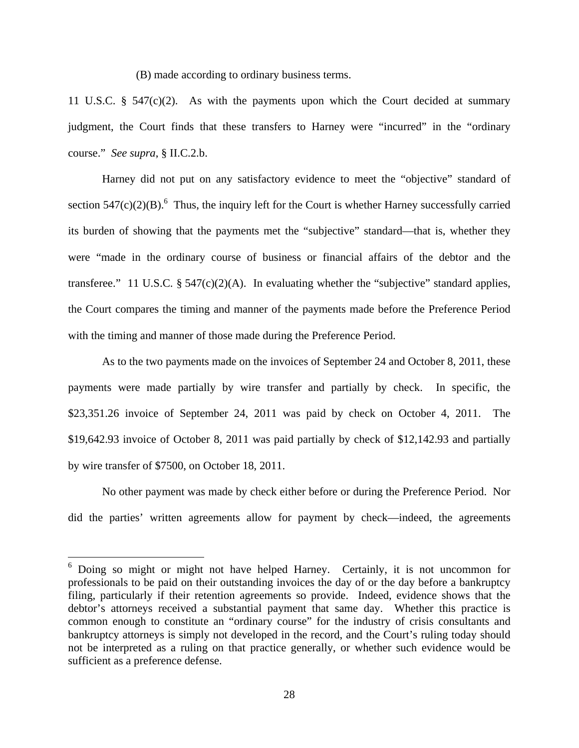(B) made according to ordinary business terms.

11 U.S.C. § 547(c)(2). As with the payments upon which the Court decided at summary judgment, the Court finds that these transfers to Harney were "incurred" in the "ordinary course." *See supra*, § II.C.2.b.

Harney did not put on any satisfactory evidence to meet the "objective" standard of section  $547(c)(2)(B)$ .<sup>6</sup> Thus, the inquiry left for the Court is whether Harney successfully carried its burden of showing that the payments met the "subjective" standard—that is, whether they were "made in the ordinary course of business or financial affairs of the debtor and the transferee." 11 U.S.C.  $\S 547(c)(2)(A)$ . In evaluating whether the "subjective" standard applies, the Court compares the timing and manner of the payments made before the Preference Period with the timing and manner of those made during the Preference Period.

As to the two payments made on the invoices of September 24 and October 8, 2011, these payments were made partially by wire transfer and partially by check. In specific, the \$23,351.26 invoice of September 24, 2011 was paid by check on October 4, 2011. The \$19,642.93 invoice of October 8, 2011 was paid partially by check of \$12,142.93 and partially by wire transfer of \$7500, on October 18, 2011.

No other payment was made by check either before or during the Preference Period. Nor did the parties' written agreements allow for payment by check—indeed, the agreements

 6 Doing so might or might not have helped Harney. Certainly, it is not uncommon for professionals to be paid on their outstanding invoices the day of or the day before a bankruptcy filing, particularly if their retention agreements so provide. Indeed, evidence shows that the debtor's attorneys received a substantial payment that same day. Whether this practice is common enough to constitute an "ordinary course" for the industry of crisis consultants and bankruptcy attorneys is simply not developed in the record, and the Court's ruling today should not be interpreted as a ruling on that practice generally, or whether such evidence would be sufficient as a preference defense.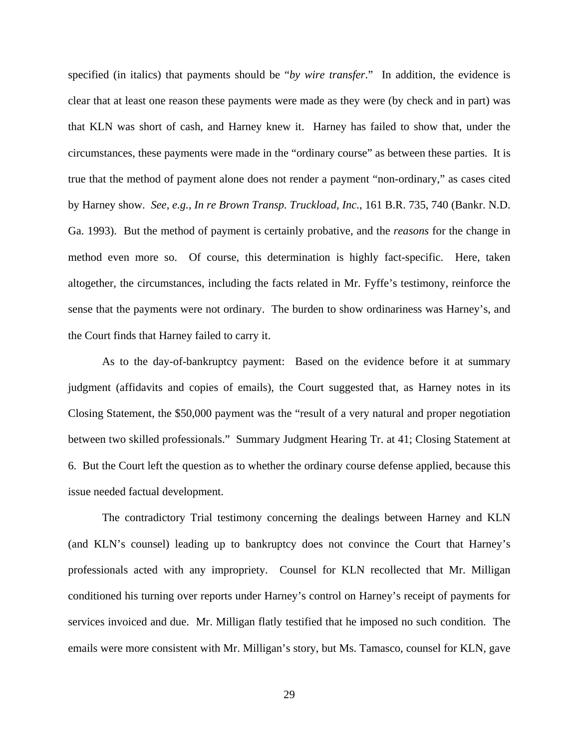specified (in italics) that payments should be "*by wire transfer*." In addition, the evidence is clear that at least one reason these payments were made as they were (by check and in part) was that KLN was short of cash, and Harney knew it. Harney has failed to show that, under the circumstances, these payments were made in the "ordinary course" as between these parties. It is true that the method of payment alone does not render a payment "non-ordinary," as cases cited by Harney show. *See, e.g., In re Brown Transp. Truckload, Inc.*, 161 B.R. 735, 740 (Bankr. N.D. Ga. 1993). But the method of payment is certainly probative, and the *reasons* for the change in method even more so. Of course, this determination is highly fact-specific. Here, taken altogether, the circumstances, including the facts related in Mr. Fyffe's testimony, reinforce the sense that the payments were not ordinary. The burden to show ordinariness was Harney's, and the Court finds that Harney failed to carry it.

As to the day-of-bankruptcy payment: Based on the evidence before it at summary judgment (affidavits and copies of emails), the Court suggested that, as Harney notes in its Closing Statement, the \$50,000 payment was the "result of a very natural and proper negotiation between two skilled professionals." Summary Judgment Hearing Tr. at 41; Closing Statement at 6. But the Court left the question as to whether the ordinary course defense applied, because this issue needed factual development.

The contradictory Trial testimony concerning the dealings between Harney and KLN (and KLN's counsel) leading up to bankruptcy does not convince the Court that Harney's professionals acted with any impropriety. Counsel for KLN recollected that Mr. Milligan conditioned his turning over reports under Harney's control on Harney's receipt of payments for services invoiced and due. Mr. Milligan flatly testified that he imposed no such condition. The emails were more consistent with Mr. Milligan's story, but Ms. Tamasco, counsel for KLN, gave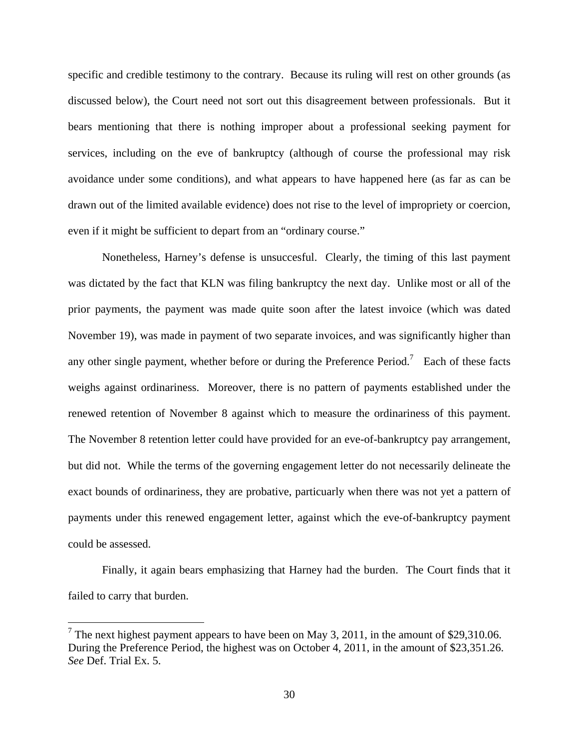specific and credible testimony to the contrary. Because its ruling will rest on other grounds (as discussed below), the Court need not sort out this disagreement between professionals. But it bears mentioning that there is nothing improper about a professional seeking payment for services, including on the eve of bankruptcy (although of course the professional may risk avoidance under some conditions), and what appears to have happened here (as far as can be drawn out of the limited available evidence) does not rise to the level of impropriety or coercion, even if it might be sufficient to depart from an "ordinary course."

Nonetheless, Harney's defense is unsuccesful. Clearly, the timing of this last payment was dictated by the fact that KLN was filing bankruptcy the next day. Unlike most or all of the prior payments, the payment was made quite soon after the latest invoice (which was dated November 19), was made in payment of two separate invoices, and was significantly higher than any other single payment, whether before or during the Preference Period.<sup>7</sup> Each of these facts weighs against ordinariness. Moreover, there is no pattern of payments established under the renewed retention of November 8 against which to measure the ordinariness of this payment. The November 8 retention letter could have provided for an eve-of-bankruptcy pay arrangement, but did not. While the terms of the governing engagement letter do not necessarily delineate the exact bounds of ordinariness, they are probative, particuarly when there was not yet a pattern of payments under this renewed engagement letter, against which the eve-of-bankruptcy payment could be assessed.

Finally, it again bears emphasizing that Harney had the burden. The Court finds that it failed to carry that burden.

 $\overline{a}$ 

<sup>&</sup>lt;sup>7</sup> The next highest payment appears to have been on May 3, 2011, in the amount of \$29,310.06. During the Preference Period, the highest was on October 4, 2011, in the amount of \$23,351.26. *See* Def. Trial Ex. 5.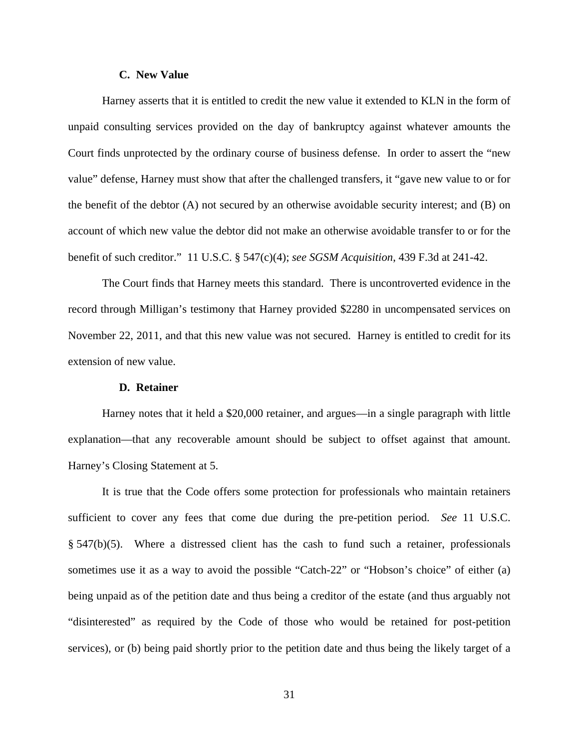## **C. New Value**

Harney asserts that it is entitled to credit the new value it extended to KLN in the form of unpaid consulting services provided on the day of bankruptcy against whatever amounts the Court finds unprotected by the ordinary course of business defense. In order to assert the "new value" defense, Harney must show that after the challenged transfers, it "gave new value to or for the benefit of the debtor (A) not secured by an otherwise avoidable security interest; and (B) on account of which new value the debtor did not make an otherwise avoidable transfer to or for the benefit of such creditor." 11 U.S.C. § 547(c)(4); *see SGSM Acquisition*, 439 F.3d at 241-42.

The Court finds that Harney meets this standard. There is uncontroverted evidence in the record through Milligan's testimony that Harney provided \$2280 in uncompensated services on November 22, 2011, and that this new value was not secured. Harney is entitled to credit for its extension of new value.

## **D. Retainer**

 Harney notes that it held a \$20,000 retainer, and argues—in a single paragraph with little explanation—that any recoverable amount should be subject to offset against that amount. Harney's Closing Statement at 5.

 It is true that the Code offers some protection for professionals who maintain retainers sufficient to cover any fees that come due during the pre-petition period. *See* 11 U.S.C. § 547(b)(5). Where a distressed client has the cash to fund such a retainer, professionals sometimes use it as a way to avoid the possible "Catch-22" or "Hobson's choice" of either (a) being unpaid as of the petition date and thus being a creditor of the estate (and thus arguably not "disinterested" as required by the Code of those who would be retained for post-petition services), or (b) being paid shortly prior to the petition date and thus being the likely target of a